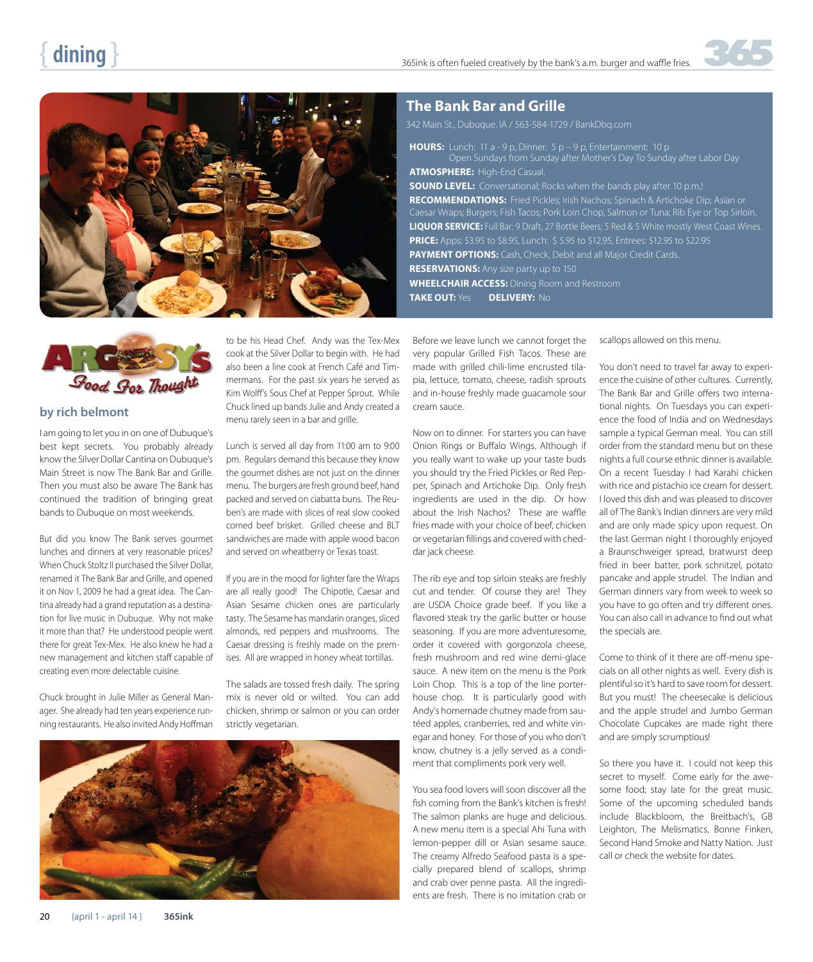

#### **The Bank Bar and Grille**

342 Main St., Dubuque, IA / 563-584-1729 / BankDbq.com

**HOURS:** Lunch: 11 a - 9 p, Dinner: 5 p – 9 p, Entertainment: 10 p Open Sundays from Sunday after Mother's Day To Sunday after Labor Day **ATMOSPHERE:** High-End Casual. **SOUND LEVEL:** Conversational; Rocks when the bands play after 10 p.m.! **RECOMMENDATIONS:** Fried Pickles; Irish Nachos; Spinach & Artichoke Dip; Asian or Caesar Wraps; Burgers; Fish Tacos; Pork Loin Chop, Salmon or Tuna; Rib Eye or Top Sirloin. **LIQUOR SERVICE:** Full Bar: 9 Draft, 27 Bottle Beers; 5 Red & 5 White mostly West Coast Wines. **PRICE:** Apps: \$3.95 to \$8.95, Lunch: \$ 5.95 to \$12.95, Entrees: \$12.95 to \$22.95 **PAYMENT OPTIONS:** Cash, Check, Debit and all Major Credit Cards. **RESERVATIONS:** Any size party up to 150 **WHEELCHAIR ACCESS:** Dining Room and Restroom **TAKE OUT:** Yes **DELIVERY:** No



#### **by rich belmont**

I am going to let you in on one of Dubuque's best kept secrets. You probably already know the Silver Dollar Cantina on Dubuque's Main Street is now The Bank Bar and Grille. Then you must also be aware The Bank has continued the tradition of bringing great bands to Dubuque on most weekends.

But did you know The Bank serves gourmet lunches and dinners at very reasonable prices? When Chuck Stoltz II purchased the Silver Dollar, renamed it The Bank Bar and Grille, and opened it on Nov 1, 2009 he had a great idea. The Cantina already had a grand reputation as a destination for live music in Dubuque. Why not make it more than that? He understood people went there for great Tex-Mex. He also knew he had a new management and kitchen staff capable of creating even more delectable cuisine.

Chuck brought in Julie Miller as General Manager. She already had ten years experience running restaurants. He also invited Andy Hoffman

to be his Head Chef. Andy was the Tex-Mex cook at the Silver Dollar to begin with. He had also been a line cook at French Café and Timmermans. For the past six years he served as Kim Wolff's Sous Chef at Pepper Sprout. While Chuck lined up bands Julie and Andy created a menu rarely seen in a bar and grille.

Lunch is served all day from 11:00 am to 9:00 pm. Regulars demand this because they know the gourmet dishes are not just on the dinner menu. The burgers are fresh ground beef, hand packed and served on ciabatta buns. The Reuben's are made with slices of real slow cooked corned beef brisket. Grilled cheese and BLT sandwiches are made with apple wood bacon and served on wheatberry or Texas toast.

If you are in the mood for lighter fare the Wraps are all really good! The Chipotle, Caesar and Asian Sesame chicken ones are particularly tasty. The Sesame has mandarin oranges, sliced almonds, red peppers and mushrooms. The Caesar dressing is freshly made on the premises. All are wrapped in honey wheat tortillas.

The salads are tossed fresh daily. The spring mix is never old or wilted. You can add chicken, shrimp or salmon or you can order strictly vegetarian.



Before we leave lunch we cannot forget the very popular Grilled Fish Tacos. These are made with grilled chili-lime encrusted tilapia, lettuce, tomato, cheese, radish sprouts and in-house freshly made guacamole sour cream sauce.

Now on to dinner. For starters you can have Onion Rings or Buffalo Wings. Although if you really want to wake up your taste buds you should try the Fried Pickles or Red Pepper, Spinach and Artichoke Dip. Only fresh ingredients are used in the dip. Or how about the Irish Nachos? These are waffle fries made with your choice of beef, chicken or vegetarian fillings and covered with cheddar jack cheese.

The rib eye and top sirloin steaks are freshly cut and tender. Of course they are! They are USDA Choice grade beef. If you like a flavored steak try the garlic butter or house seasoning. If you are more adventuresome, order it covered with gorgonzola cheese, fresh mushroom and red wine demi-glace sauce. A new item on the menu is the Pork Loin Chop. This is a top of the line porterhouse chop. It is particularly good with Andy's homemade chutney made from sautéed apples, cranberries, red and white vinegar and honey. For those of you who don't know, chutney is a jelly served as a condiment that compliments pork very well.

You sea food lovers will soon discover all the fish coming from the Bank's kitchen is fresh! The salmon planks are huge and delicious. A new menu item is a special Ahi Tuna with lemon-pepper dill or Asian sesame sauce. The creamy Alfredo Seafood pasta is a specially prepared blend of scallops, shrimp and crab over penne pasta. All the ingredients are fresh. There is no imitation crab or

scallops allowed on this menu.

You don't need to travel far away to experience the cuisine of other cultures. Currently, The Bank Bar and Grille offers two international nights. On Tuesdays you can experience the food of India and on Wednesdays sample a typical German meal. You can still order from the standard menu but on these nights a full course ethnic dinner is available. On a recent Tuesday I had Karahi chicken with rice and pistachio ice cream for dessert. I loved this dish and was pleased to discover all of The Bank's Indian dinners are very mild and are only made spicy upon request. On the last German night I thoroughly enjoyed a Braunschweiger spread, bratwurst deep fried in beer batter, pork schnitzel, potato pancake and apple strudel. The Indian and German dinners vary from week to week so you have to go often and try different ones. You can also call in advance to find out what the specials are.

Come to think of it there are off-menu specials on all other nights as well. Every dish is plentiful so it's hard to save room for dessert. But you must! The cheesecake is delicious and the apple strudel and Jumbo German Chocolate Cupcakes are made right there and are simply scrumptious!

So there you have it. I could not keep this secret to myself. Come early for the awesome food; stay late for the great music. Some of the upcoming scheduled bands include Blackbloom, the Breitbach's, GB Leighton, The Melismatics, Bonne Finken, Second Hand Smoke and Natty Nation. Just call or check the website for dates.